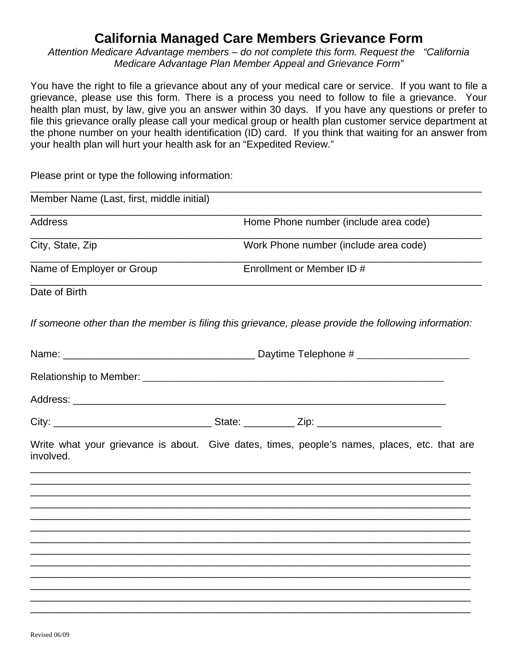## **California Managed Care Members Grievance Form**

*Attention Medicare Advantage members – do not complete this form. Request the "California Medicare Advantage Plan Member Appeal and Grievance Form"* 

You have the right to file a grievance about any of your medical care or service. If you want to file a grievance, please use this form. There is a process you need to follow to file a grievance. Your health plan must, by law, give you an answer within 30 days. If you have any questions or prefer to file this grievance orally please call your medical group or health plan customer service department at the phone number on your health identification (ID) card. If you think that waiting for an answer from your health plan will hurt your health ask for an "Expedited Review."

Please print or type the following information:

| Member Name (Last, first, middle initial) |                                       |                                                                                                      |
|-------------------------------------------|---------------------------------------|------------------------------------------------------------------------------------------------------|
| <b>Address</b>                            | Home Phone number (include area code) |                                                                                                      |
| City, State, Zip                          | Work Phone number (include area code) |                                                                                                      |
| Name of Employer or Group                 | Enrollment or Member ID #             |                                                                                                      |
| Date of Birth                             |                                       |                                                                                                      |
|                                           |                                       | If someone other than the member is filing this grievance, please provide the following information: |
|                                           |                                       |                                                                                                      |
|                                           |                                       |                                                                                                      |
|                                           |                                       |                                                                                                      |
|                                           |                                       |                                                                                                      |
| involved.                                 |                                       | Write what your grievance is about. Give dates, times, people's names, places, etc. that are         |
|                                           |                                       |                                                                                                      |
|                                           |                                       |                                                                                                      |
|                                           |                                       |                                                                                                      |
|                                           |                                       |                                                                                                      |
|                                           |                                       |                                                                                                      |
|                                           |                                       |                                                                                                      |